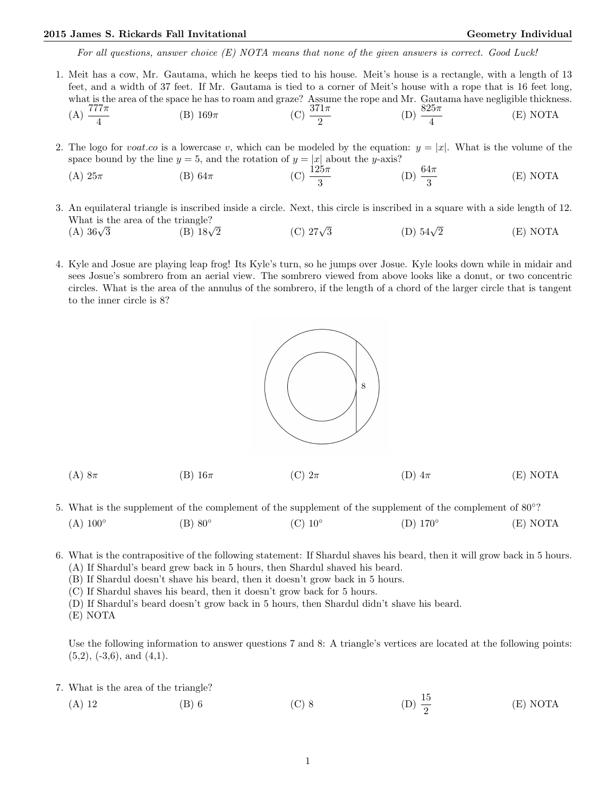## 2015 James S. Rickards Fall Invitational Christian Communication Ceometry Individual Geometry Individual

For all questions, answer choice  $(E)$  NOTA means that none of the given answers is correct. Good Luck!

- 1. Meit has a cow, Mr. Gautama, which he keeps tied to his house. Meit's house is a rectangle, with a length of 13 feet, and a width of 37 feet. If Mr. Gautama is tied to a corner of Meit's house with a rope that is 16 feet long, what is the area of the space he has to roam and graze? Assume the rope and Mr. Gautama have negligible thickness. (A)  $\frac{777\pi}{4}$ (B)  $169\pi$  (C)  $\frac{371\pi}{2}$ (D)  $\frac{825\pi}{4}$ (E) NOTA
- 2. The logo for voat.co is a lowercase v, which can be modeled by the equation:  $y = |x|$ . What is the volume of the space bound by the line  $y = 5$ , and the rotation of  $y = |x|$  about the y-axis?
	- (A)  $25\pi$  (B)  $64\pi$  (C)  $\frac{125\pi}{3}$ (D)  $\frac{64\pi}{3}$ (E) NOTA
- 3. An equilateral triangle is inscribed inside a circle. Next, this circle is inscribed in a square with a side length of 12. What is the area of the triangle?<br>(A)  $36\sqrt{3}$  (B)  $18\sqrt{ }$ (A)  $36\sqrt{3}$ (B)  $18\sqrt{2}$  (C)  $27\sqrt{3}$ (D)  $54\sqrt{2}$  $(E) NOTA$
- 4. Kyle and Josue are playing leap frog! Its Kyle's turn, so he jumps over Josue. Kyle looks down while in midair and sees Josue's sombrero from an aerial view. The sombrero viewed from above looks like a donut, or two concentric circles. What is the area of the annulus of the sombrero, if the length of a chord of the larger circle that is tangent to the inner circle is 8?



- (A) 8 $\pi$  (B) 16 $\pi$  (C)  $2\pi$  (D)  $4\pi$  (E) NOTA
- 5. What is the supplement of the complement of the supplement of the supplement of the complement of 80°?  $(A)$  100 $^{\circ}$  $(B)$  80 $\circ$  $(C)$  10 $^{\circ}$  $(D)$  170 $^{\circ}$ (E) NOTA
- 6. What is the contrapositive of the following statement: If Shardul shaves his beard, then it will grow back in 5 hours. (A) If Shardul's beard grew back in 5 hours, then Shardul shaved his beard.
	- (B) If Shardul doesn't shave his beard, then it doesn't grow back in 5 hours.
	- (C) If Shardul shaves his beard, then it doesn't grow back for 5 hours.
	- (D) If Shardul's beard doesn't grow back in 5 hours, then Shardul didn't shave his beard.
	- (E) NOTA

Use the following information to answer questions 7 and 8: A triangle's vertices are located at the following points:  $(5,2)$ ,  $(-3,6)$ , and  $(4,1)$ .

- 7. What is the area of the triangle?
	- (A) 12 (B) 6 (C) 8 (D)  $\frac{15}{9}$ (D)  $\frac{15}{2}$ (E) NOTA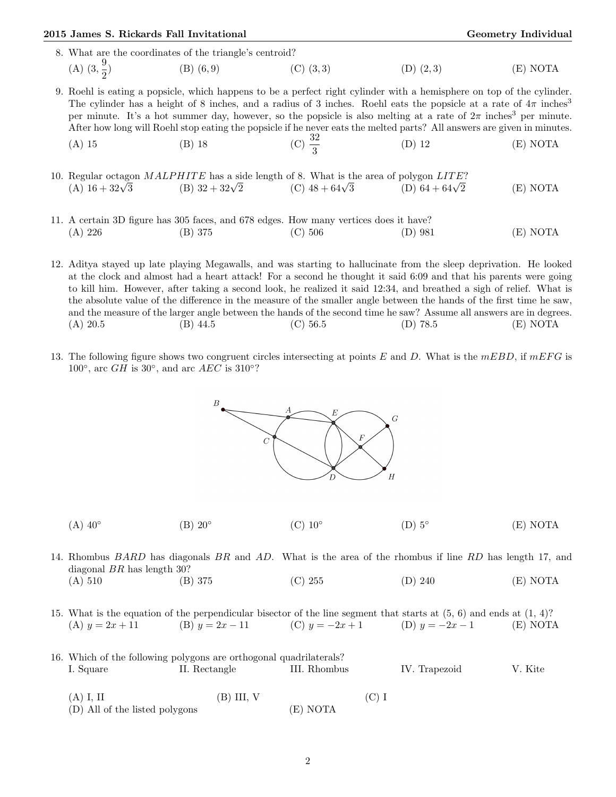|                                                         | 2015 James S. Rickards Fall Invitational |                                                                                                                                                                                                                                                                                                                                                                                                                                                                                                                                     | <b>Geometry Individual</b> |               |             |  |  |
|---------------------------------------------------------|------------------------------------------|-------------------------------------------------------------------------------------------------------------------------------------------------------------------------------------------------------------------------------------------------------------------------------------------------------------------------------------------------------------------------------------------------------------------------------------------------------------------------------------------------------------------------------------|----------------------------|---------------|-------------|--|--|
| 8. What are the coordinates of the triangle's centroid? |                                          |                                                                                                                                                                                                                                                                                                                                                                                                                                                                                                                                     |                            |               |             |  |  |
|                                                         | (A) $(3, \frac{9}{2})$                   | (B) $(6,9)$ (C) $(3,3)$                                                                                                                                                                                                                                                                                                                                                                                                                                                                                                             |                            | $(D)$ $(2,3)$ | (E) NOTA    |  |  |
|                                                         | $(A)$ 15                                 | 9. Roehl is eating a popsicle, which happens to be a perfect right cylinder with a hemisphere on top of the cylinder.<br>The cylinder has a height of 8 inches, and a radius of 3 inches. Roehl eats the popsicle at a rate of $4\pi$ inches <sup>3</sup><br>per minute. It's a hot summer day, however, so the popsicle is also melting at a rate of $2\pi$ inches <sup>3</sup> per minute.<br>After how long will Roehl stop eating the popsicle if he never eats the melted parts? All answers are given in minutes.<br>$(B)$ 18 | (C) $\frac{32}{2}$         | $(D)$ 12      | (E) NOTA    |  |  |
|                                                         |                                          | 10. Regular octagon MALPHITE has a side length of 8. What is the area of polygon LITE?<br>(A) $16 + 32\sqrt{3}$ (B) $32 + 32\sqrt{2}$ (C) $48 + 64\sqrt{3}$ (D) $64 + 64\sqrt{2}$                                                                                                                                                                                                                                                                                                                                                   |                            |               | (E) NOTA    |  |  |
|                                                         | (A) 226                                  | 11. A certain 3D figure has 305 faces, and 678 edges. How many vertices does it have?<br>(B) 375                                                                                                                                                                                                                                                                                                                                                                                                                                    | (C) 506                    | (D) 981       | NOTA<br>(E) |  |  |

- 12. Aditya stayed up late playing Megawalls, and was starting to hallucinate from the sleep deprivation. He looked at the clock and almost had a heart attack! For a second he thought it said 6:09 and that his parents were going to kill him. However, after taking a second look, he realized it said 12:34, and breathed a sigh of relief. What is the absolute value of the difference in the measure of the smaller angle between the hands of the first time he saw, and the measure of the larger angle between the hands of the second time he saw? Assume all answers are in degrees. (A) 20.5 (B) 44.5 (C) 56.5 (D) 78.5 (E) NOTA
- 13. The following figure shows two congruent circles intersecting at points  $E$  and  $D$ . What is the  $mEBD$ , if  $mEFG$  is 100 $\degree$ , arc GH is 30 $\degree$ , and arc AEC is 310 $\degree$ ?

 $\overline{G}$  $\overline{C}$  $\overline{H}$ 

|  | $(A)$ 40 $^{\circ}$ | $(B)$ 20 $^{\circ}$ | $(C)$ 10 $^{\circ}$ | $(D)$ 5° | (E) NOTA |
|--|---------------------|---------------------|---------------------|----------|----------|
|--|---------------------|---------------------|---------------------|----------|----------|

14. Rhombus BARD has diagonals BR and AD. What is the area of the rhombus if line RD has length 17, and diagonal BR has length 30? (A) 510 (B) 375 (C) 255 (D) 240 (E) NOTA

15. What is the equation of the perpendicular bisector of the line segment that starts at (5, 6) and ends at (1, 4)? (A)  $y = 2x + 11$  (B)  $y = 2x - 11$  (C)  $y = -2x + 1$  (D)  $y = -2x - 1$  (E) NOTA

|           | 16. Which of the following polygons are orthogonal quadrilaterals? |              |               |         |  |  |  |  |
|-----------|--------------------------------------------------------------------|--------------|---------------|---------|--|--|--|--|
| I. Square | II. Rectangle                                                      | III. Rhombus | IV. Trapezoid | V. Kite |  |  |  |  |
|           |                                                                    |              |               |         |  |  |  |  |

(A) I, II (B) III, V (C) I (D) All of the listed polygons (E) NOTA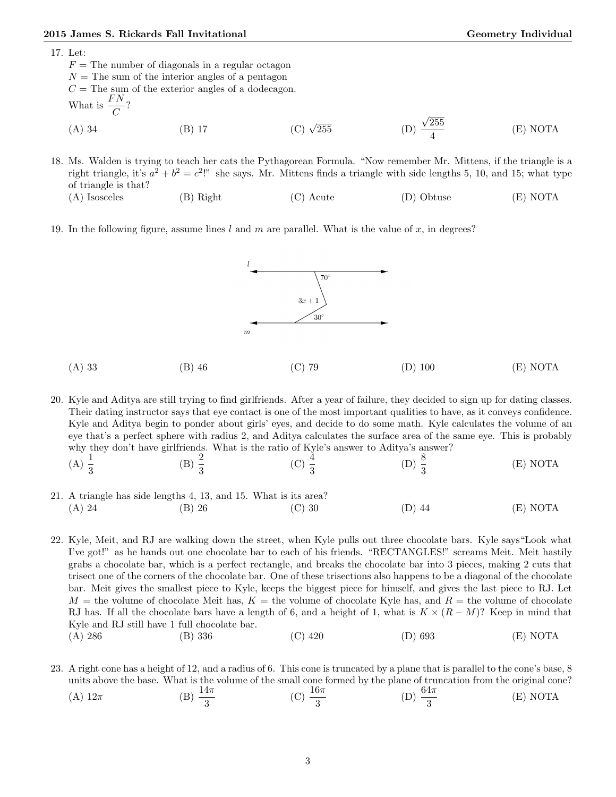## 2015 James S. Rickards Fall Invitational Christian Communication Ceometry Individual Geometry Individual

17. Let:

 $F =$  The number of diagonals in a regular octagon  $N =$ The sum of the interior angles of a pentagon  $C =$  The sum of the exterior angles of a dodecagon. What is  $\frac{FN}{C}$ ? (A) 34 (B) 17 (C)  $\sqrt{ }$ 255 (D) √ 255 4 (E) NOTA

18. Ms. Walden is trying to teach her cats the Pythagorean Formula. "Now remember Mr. Mittens, if the triangle is a right triangle, it's  $a^2 + b^2 = c^2$ !" she says. Mr. Mittens finds a triangle with side lengths 5, 10, and 15; what type of triangle is that? (A) Isosceles (B) Right (C) Acute (D) Obtuse (E) NOTA

19. In the following figure, assume lines  $l$  and  $m$  are parallel. What is the value of  $x$ , in degrees?



20. Kyle and Aditya are still trying to find girlfriends. After a year of failure, they decided to sign up for dating classes. Their dating instructor says that eye contact is one of the most important qualities to have, as it conveys confidence. Kyle and Aditya begin to ponder about girls' eyes, and decide to do some math. Kyle calculates the volume of an eye that's a perfect sphere with radius 2, and Aditya calculates the surface area of the same eye. This is probably why they don't have girlfriends. What is the ratio of Kyle's answer to Aditya's answer?

- $(A) \frac{1}{3}$ (B)  $\frac{2}{3}$ (C)  $\frac{4}{3}$ (D)  $\frac{8}{3}$ (E) NOTA
- 21. A triangle has side lengths 4, 13, and 15. What is its area? (A) 24 (B) 26 (C) 30 (D) 44 (E) NOTA

22. Kyle, Meit, and RJ are walking down the street, when Kyle pulls out three chocolate bars. Kyle says"Look what I've got!" as he hands out one chocolate bar to each of his friends. "RECTANGLES!" screams Meit. Meit hastily grabs a chocolate bar, which is a perfect rectangle, and breaks the chocolate bar into 3 pieces, making 2 cuts that trisect one of the corners of the chocolate bar. One of these trisections also happens to be a diagonal of the chocolate bar. Meit gives the smallest piece to Kyle, keeps the biggest piece for himself, and gives the last piece to RJ. Let  $M =$  the volume of chocolate Meit has,  $K =$  the volume of chocolate Kyle has, and  $R =$  the volume of chocolate RJ has. If all the chocolate bars have a length of 6, and a height of 1, what is  $K \times (R - M)$ ? Keep in mind that Kyle and RJ still have 1 full chocolate bar. (A) 286 (B) 336 (C) 420 (D) 693 (E) NOTA

23. A right cone has a height of 12, and a radius of 6. This cone is truncated by a plane that is parallel to the cone's base, 8 units above the base. What is the volume of the small cone formed by the plane of truncation from the original cone? (A)  $12\pi$  (B)  $\frac{14\pi}{3}$ (C)  $\frac{16\pi}{3}$ (D)  $\frac{64\pi}{3}$ (E) NOTA